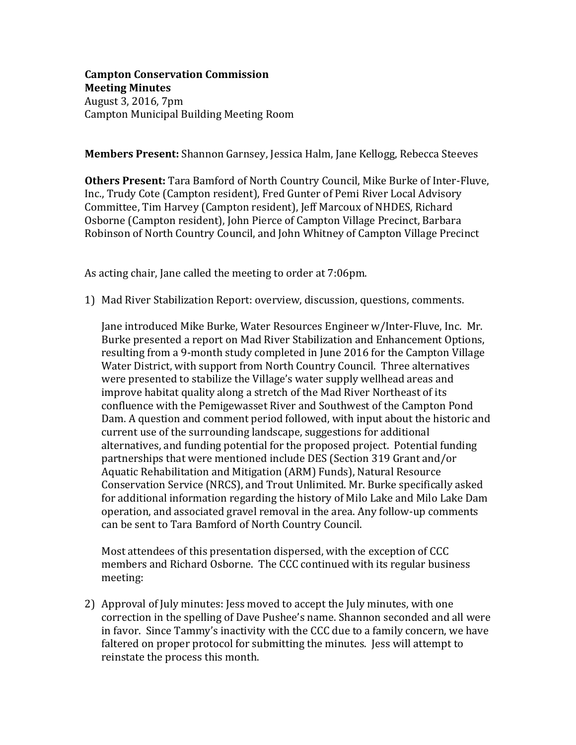## **Campton Conservation Commission Meeting Minutes** August 3, 2016, 7pm Campton Municipal Building Meeting Room

**Members Present:** Shannon Garnsey, Jessica Halm, Jane Kellogg, Rebecca Steeves

**Others Present:** Tara Bamford of North Country Council, Mike Burke of Inter-Fluve, Inc., Trudy Cote (Campton resident), Fred Gunter of Pemi River Local Advisory Committee, Tim Harvey (Campton resident), Jeff Marcoux of NHDES, Richard Osborne (Campton resident), John Pierce of Campton Village Precinct, Barbara Robinson of North Country Council, and John Whitney of Campton Village Precinct

As acting chair, Jane called the meeting to order at 7:06pm.

1) Mad River Stabilization Report: overview, discussion, questions, comments.

Jane introduced Mike Burke, Water Resources Engineer w/Inter-Fluve, Inc. Mr. Burke presented a report on Mad River Stabilization and Enhancement Options, resulting from a 9-month study completed in June 2016 for the Campton Village Water District, with support from North Country Council. Three alternatives were presented to stabilize the Village's water supply wellhead areas and improve habitat quality along a stretch of the Mad River Northeast of its confluence with the Pemigewasset River and Southwest of the Campton Pond Dam. A question and comment period followed, with input about the historic and current use of the surrounding landscape, suggestions for additional alternatives, and funding potential for the proposed project. Potential funding partnerships that were mentioned include DES (Section 319 Grant and/or Aquatic Rehabilitation and Mitigation (ARM) Funds), Natural Resource Conservation Service (NRCS), and Trout Unlimited. Mr. Burke specifically asked for additional information regarding the history of Milo Lake and Milo Lake Dam operation, and associated gravel removal in the area. Any follow-up comments can be sent to Tara Bamford of North Country Council.

Most attendees of this presentation dispersed, with the exception of CCC members and Richard Osborne. The CCC continued with its regular business meeting:

2) Approval of July minutes: Jess moved to accept the July minutes, with one correction in the spelling of Dave Pushee's name. Shannon seconded and all were in favor. Since Tammy's inactivity with the CCC due to a family concern, we have faltered on proper protocol for submitting the minutes. Jess will attempt to reinstate the process this month.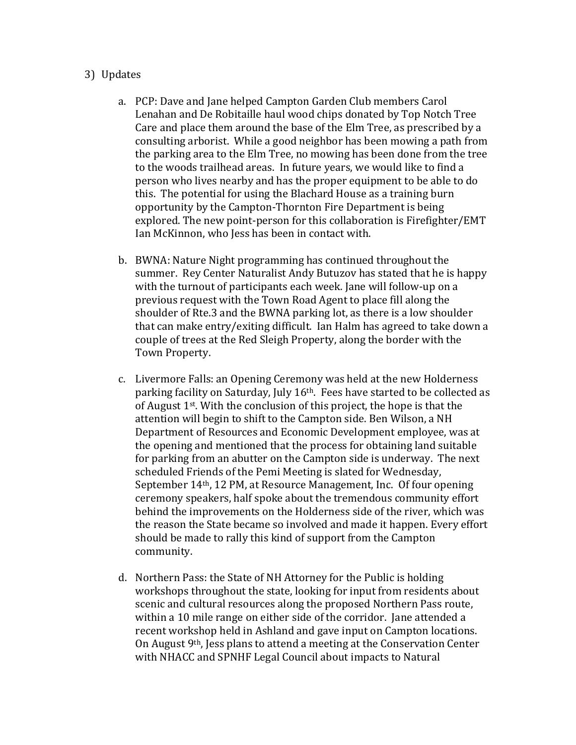## 3) Updates

- a. PCP: Dave and Jane helped Campton Garden Club members Carol Lenahan and De Robitaille haul wood chips donated by Top Notch Tree Care and place them around the base of the Elm Tree, as prescribed by a consulting arborist. While a good neighbor has been mowing a path from the parking area to the Elm Tree, no mowing has been done from the tree to the woods trailhead areas. In future years, we would like to find a person who lives nearby and has the proper equipment to be able to do this. The potential for using the Blachard House as a training burn opportunity by the Campton-Thornton Fire Department is being explored. The new point-person for this collaboration is Firefighter/EMT Ian McKinnon, who Jess has been in contact with.
- b. BWNA: Nature Night programming has continued throughout the summer. Rey Center Naturalist Andy Butuzov has stated that he is happy with the turnout of participants each week. Jane will follow-up on a previous request with the Town Road Agent to place fill along the shoulder of Rte.3 and the BWNA parking lot, as there is a low shoulder that can make entry/exiting difficult. Ian Halm has agreed to take down a couple of trees at the Red Sleigh Property, along the border with the Town Property.
- c. Livermore Falls: an Opening Ceremony was held at the new Holderness parking facility on Saturday, July 16th. Fees have started to be collected as of August  $1<sup>st</sup>$ . With the conclusion of this project, the hope is that the attention will begin to shift to the Campton side. Ben Wilson, a NH Department of Resources and Economic Development employee, was at the opening and mentioned that the process for obtaining land suitable for parking from an abutter on the Campton side is underway. The next scheduled Friends of the Pemi Meeting is slated for Wednesday, September 14th, 12 PM, at Resource Management, Inc. Of four opening ceremony speakers, half spoke about the tremendous community effort behind the improvements on the Holderness side of the river, which was the reason the State became so involved and made it happen. Every effort should be made to rally this kind of support from the Campton community.
- d. Northern Pass: the State of NH Attorney for the Public is holding workshops throughout the state, looking for input from residents about scenic and cultural resources along the proposed Northern Pass route, within a 10 mile range on either side of the corridor. Jane attended a recent workshop held in Ashland and gave input on Campton locations. On August 9th, Jess plans to attend a meeting at the Conservation Center with NHACC and SPNHF Legal Council about impacts to Natural